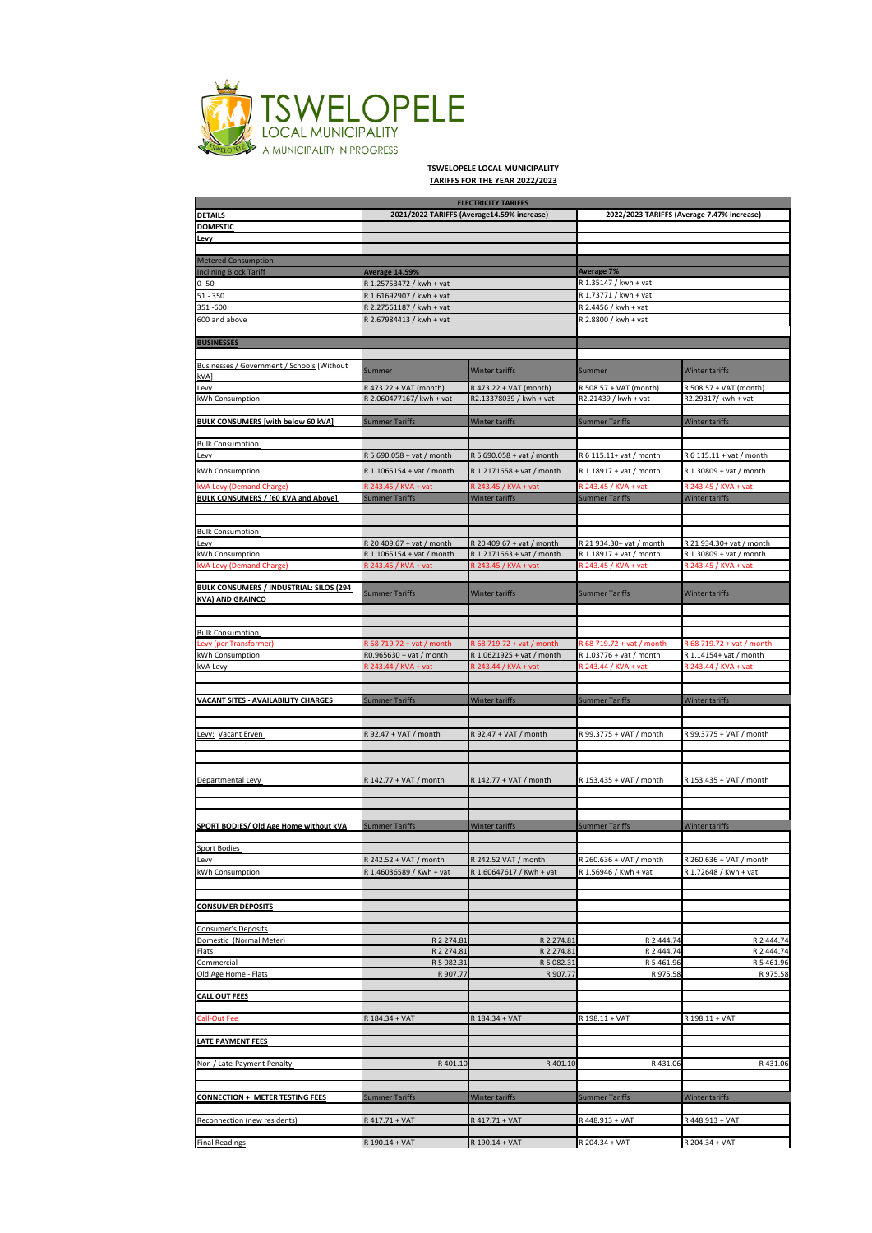

## **TSWELOPELE LOCAL MUNICIPALITY TARIFFS FOR THE YEAR 2022/2023**

|                                                   |                                            | <b>ELECTRICITY TARIFFS</b> |                                                      |                           |
|---------------------------------------------------|--------------------------------------------|----------------------------|------------------------------------------------------|---------------------------|
| DETAILS                                           | 2021/2022 TARIFFS (Average14.59% increase) |                            | 2022/2023 TARIFFS (Average 7.47% increase)           |                           |
| DOMESTIC                                          |                                            |                            |                                                      |                           |
| Levy                                              |                                            |                            |                                                      |                           |
|                                                   |                                            |                            |                                                      |                           |
| <b>Metered Consumption</b>                        |                                            |                            |                                                      |                           |
| <b>Inclining Block Tariff</b>                     | <b>Average 14.59%</b>                      |                            | <b>Average 7%</b>                                    |                           |
| $0 - 50$                                          | R 1.25753472 / kwh + vat                   |                            | R 1.35147 / kwh + vat                                |                           |
| 51 - 350                                          | R 1.61692907 / kwh + vat                   |                            | R 1.73771 / kwh + vat                                |                           |
| 351-600                                           | R 2.27561187 / kwh + vat                   |                            | R 2.4456 / kwh + vat                                 |                           |
| 600 and above                                     | R 2.67984413 / kwh + vat                   |                            | R 2.8800 / kwh + vat                                 |                           |
|                                                   |                                            |                            |                                                      |                           |
| <b>BUSINESSES</b>                                 |                                            |                            |                                                      |                           |
|                                                   |                                            |                            |                                                      |                           |
| <u>Businesses / Government / Schools</u> [Without |                                            |                            |                                                      |                           |
| kVA]                                              | Summer                                     | <b>Winter tariffs</b>      | Summer                                               | <b>Winter tariffs</b>     |
| Levy                                              | R 473.22 + VAT (month)                     | R 473.22 + VAT (month)     | R 508.57 + VAT (month)                               | R 508.57 + VAT (month)    |
| kWh Consumption                                   | R 2.060477167/ kwh + vat                   | R2.13378039 / kwh + vat    | R2.21439 / kwh + vat                                 | R2.29317/ kwh + vat       |
|                                                   |                                            |                            |                                                      |                           |
| BULK CONSUMERS [with below 60 kVA]                | <b>Summer Tariffs</b>                      | Winter tariffs             | <b>Summer Tariffs</b>                                | Winter tariffs            |
|                                                   |                                            |                            |                                                      |                           |
| <b>Bulk Consumption</b>                           |                                            |                            |                                                      |                           |
| Levy                                              | R 5 690.058 + vat / month                  | R 5 690.058 + vat / month  | R 6 115.11+ vat / month                              | R 6 115.11 + vat / month  |
| kWh Consumption                                   | R 1.1065154 + vat / month                  | R 1.2171658 + vat / month  | R 1.18917 + vat / month                              | R 1.30809 + vat / month   |
|                                                   |                                            |                            |                                                      |                           |
| kVA Levy (Demand Charge)                          | R 243.45 / KVA + vat                       | R 243.45 / KVA + vat       | R 243.45 / KVA + vat                                 | R 243.45 / KVA + vat      |
| BULK CONSUMERS / [60 KVA and Above]               | <b>Summer Tariffs</b>                      | Winter tariffs             | <b>Summer Tariffs</b>                                | Winter tariffs            |
|                                                   |                                            |                            |                                                      |                           |
|                                                   |                                            |                            |                                                      |                           |
| <b>Bulk Consumption</b>                           |                                            |                            |                                                      |                           |
| Levy                                              | R 20 409.67 + vat / month                  | R 20 409.67 + vat / month  | R 21 934.30+ vat / month                             | R 21 934.30+ vat / month  |
| kWh Consumption                                   | R 1.1065154 + vat / month                  | R 1.2171663 + vat / month  | R 1.18917 + vat / month                              | R 1.30809 + vat / month   |
| kVA Levy (Demand Charge)                          | R 243.45 / KVA + vat                       | R 243.45 / KVA + vat       | R 243.45 / KVA + vat                                 | R 243.45 / KVA + vat      |
|                                                   |                                            |                            |                                                      |                           |
| BULK CONSUMERS / INDUSTRIAL: SILOS (294           | <b>Summer Tariffs</b>                      | <b>Winter tariffs</b>      | <b>Summer Tariffs</b>                                | Winter tariffs            |
| <b>KVA) AND GRAINCO</b>                           |                                            |                            |                                                      |                           |
|                                                   |                                            |                            |                                                      |                           |
| <b>Bulk Consumption</b>                           |                                            |                            |                                                      |                           |
|                                                   |                                            |                            |                                                      |                           |
| Levy (per Transformer)<br>kWh Consumption         | R 68 719.72 + vat / month                  | R 68 719.72 + vat / month  | R 68 719.72 + vat / month<br>R 1.03776 + vat / month | R 68 719.72 + vat / month |
|                                                   | R0.965630 + vat / month                    | R 1.0621925 + vat / month  |                                                      | R 1.14154+ vat / month    |
| kVA Levy                                          | R 243.44 / KVA + vat                       | R 243.44 / KVA + vat       | R 243.44 / KVA + vat                                 | R 243.44 / KVA + vat      |
|                                                   |                                            |                            |                                                      |                           |
| <b>VACANT SITES - AVAILABILITY CHARGES</b>        | <b>Summer Tariffs</b>                      | Winter tariffs             | <b>Summer Tariffs</b>                                | Winter tariffs            |
|                                                   |                                            |                            |                                                      |                           |
|                                                   |                                            |                            |                                                      |                           |
| Levy: Vacant Erven                                |                                            |                            |                                                      |                           |
|                                                   | R 92.47 + VAT / month                      | R 92.47 + VAT / month      | R 99.3775 + VAT / month                              | R 99.3775 + VAT / month   |
|                                                   |                                            |                            |                                                      |                           |
|                                                   |                                            |                            |                                                      |                           |
|                                                   |                                            |                            |                                                      |                           |
| Departmental Levy                                 | R 142.77 + VAT / month                     | R 142.77 + VAT / month     | R 153.435 + VAT / month                              | R 153.435 + VAT / month   |
|                                                   |                                            |                            |                                                      |                           |
|                                                   |                                            |                            |                                                      |                           |
|                                                   |                                            |                            |                                                      |                           |
| SPORT BODIES/ Old Age Home without kVA            | <b>Summer Tariffs</b>                      | Winter tariffs             | <b>Summer Tariffs</b>                                | Winter tariffs            |
|                                                   |                                            |                            |                                                      |                           |
| <b>Sport Bodies</b>                               |                                            |                            |                                                      |                           |
| Levy                                              | R 242.52 + VAT / month                     | R 242.52 VAT / month       | R 260.636 + VAT / month                              | R 260.636 + VAT / month   |
| kWh Consumption                                   | R 1.46036589 / Kwh + vat                   | R 1.60647617 / Kwh + vat   | R 1.56946 / Kwh + vat                                | R 1.72648 / Kwh + vat     |
|                                                   |                                            |                            |                                                      |                           |
|                                                   |                                            |                            |                                                      |                           |
| <b>CONSUMER DEPOSITS</b>                          |                                            |                            |                                                      |                           |
|                                                   |                                            |                            |                                                      |                           |
| Consumer's Deposits                               | R 2 274.81                                 |                            |                                                      |                           |
| Domestic (Normal Meter)                           | R 2 274.81                                 | R 2 274.81<br>R 2 274.81   | R 2 444.74<br>R 2 444.74                             | R 2 444.74<br>R 2 444.74  |
| Flats                                             |                                            | R 5 082.31                 | R 5 461.96                                           | R 5 461.96                |
| Commercial<br>Old Age Home - Flats                | R 5 082.31<br>R 907.77                     | R 907.77                   | R 975.58                                             | R 975.58                  |
|                                                   |                                            |                            |                                                      |                           |
| CALL OUT FEES                                     |                                            |                            |                                                      |                           |
|                                                   |                                            |                            |                                                      |                           |
|                                                   |                                            | R 184.34 + VAT             |                                                      | R 198.11 + VAT            |
| <b>Call-Out Fee</b>                               | R 184.34 + VAT                             |                            | R 198.11 + VAT                                       |                           |
|                                                   |                                            |                            |                                                      |                           |
| LATE PAYMENT FEES                                 |                                            |                            |                                                      |                           |
|                                                   |                                            |                            |                                                      |                           |
| Non / Late-Payment Penalty                        | R 401.10                                   | R 401.10                   | R431.06                                              | R431.06                   |
|                                                   |                                            |                            |                                                      |                           |
|                                                   |                                            |                            |                                                      |                           |
| <b>CONNECTION + METER TESTING FEES</b>            | <b>Summer Tariffs</b>                      | Winter tariffs             | <b>Summer Tariffs</b>                                | Winter tariffs            |
|                                                   |                                            |                            |                                                      |                           |
| Reconnection (new residents)                      | R 417.71 + VAT                             | R 417.71 + VAT             | R 448.913 + VAT                                      | R 448.913 + VAT           |
|                                                   |                                            |                            |                                                      |                           |
| <b>Final Readings</b>                             | R 190.14 + VAT                             | R 190.14 + VAT             | R 204.34 + VAT                                       | R 204.34 + VAT            |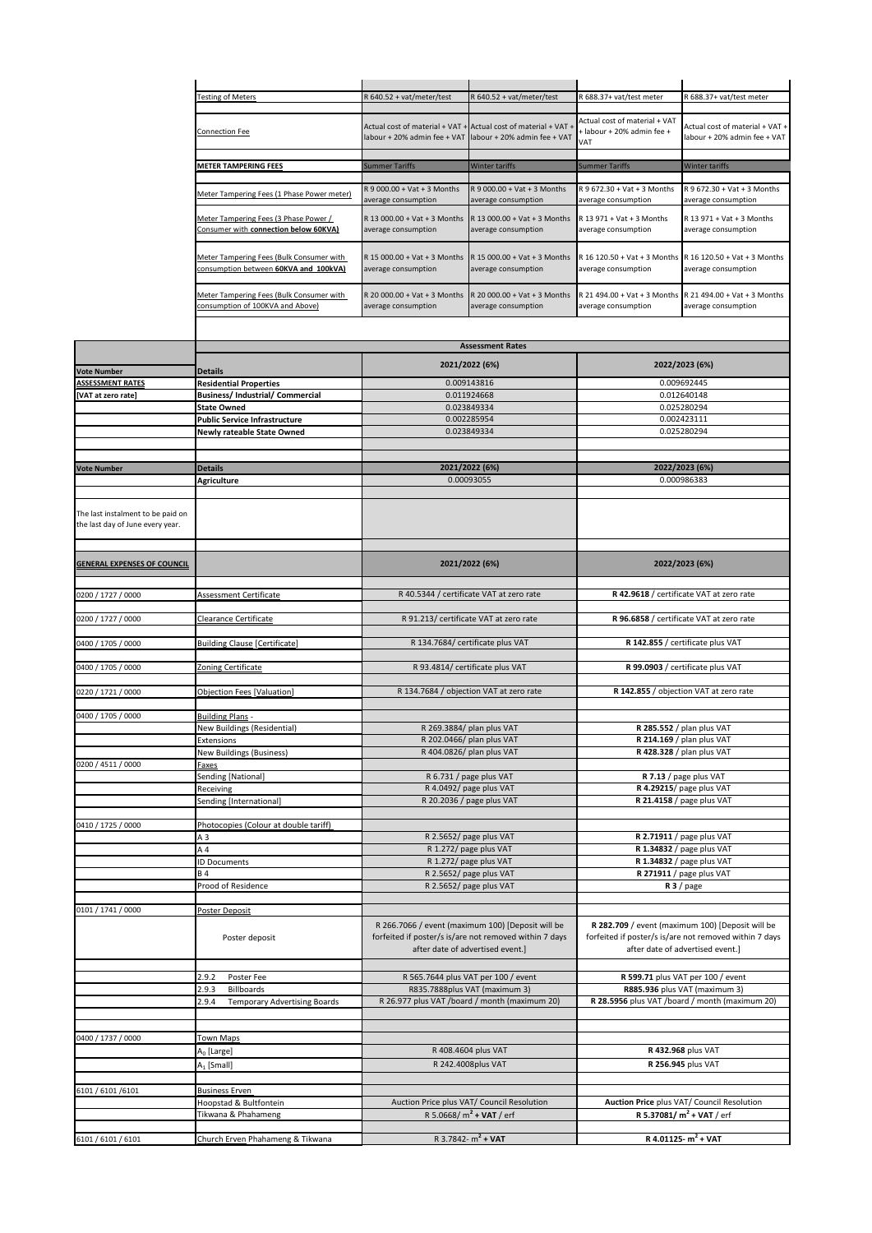|                                                                       | <b>Testing of Meters</b>                                                          | R 640.52 + vat/meter/test                           | R 640.52 + vat/meter/test                                                                                                                       | R 688.37+ vat/test meter                            | R 688.37+ vat/test meter                                                                                                                       |
|-----------------------------------------------------------------------|-----------------------------------------------------------------------------------|-----------------------------------------------------|-------------------------------------------------------------------------------------------------------------------------------------------------|-----------------------------------------------------|------------------------------------------------------------------------------------------------------------------------------------------------|
|                                                                       |                                                                                   |                                                     |                                                                                                                                                 | Actual cost of material + VAT                       |                                                                                                                                                |
|                                                                       | <b>Connection Fee</b>                                                             | Actual cost of material + VAT +                     | Actual cost of material + VAT                                                                                                                   | + labour + 20% admin fee +                          | Actual cost of material + VAT +                                                                                                                |
|                                                                       |                                                                                   | labour + 20% admin fee + VAT                        | abour + 20% admin fee + VAT                                                                                                                     | VAT                                                 | labour + 20% admin fee + VAT                                                                                                                   |
|                                                                       | METER TAMPERING FEES                                                              | <b>Summer Tariffs</b>                               | Winter tariffs                                                                                                                                  | <b>Summer Tariffs</b>                               | Winter tariffs                                                                                                                                 |
|                                                                       |                                                                                   |                                                     |                                                                                                                                                 |                                                     |                                                                                                                                                |
|                                                                       | Meter Tampering Fees (1 Phase Power meter)                                        | R 9 000.00 + Vat + 3 Months<br>average consumption  | R 9 000.00 + Vat + 3 Months<br>average consumption                                                                                              | R 9 672.30 + Vat + 3 Months<br>average consumption  | R 9 672.30 + Vat + 3 Months<br>average consumption                                                                                             |
|                                                                       | Meter Tampering Fees (3 Phase Power /<br>Consumer with connection below 60KVA)    | R 13 000.00 + Vat + 3 Months<br>average consumption | R 13 000.00 + Vat + 3 Months<br>average consumption                                                                                             | R 13 971 + Vat + 3 Months<br>average consumption    | R 13 971 + Vat + 3 Months<br>average consumption                                                                                               |
|                                                                       | Meter Tampering Fees (Bulk Consumer with                                          | R 15 000.00 + Vat + 3 Months                        | $3.15000.00 + Vat + 3$ Months                                                                                                                   | R 16 120.50 + Vat + 3 Months                        | R 16 120.50 + Vat + 3 Months                                                                                                                   |
|                                                                       | consumption between 60KVA and 100kVA)<br>Meter Tampering Fees (Bulk Consumer with | average consumption<br>R 20 000.00 + Vat + 3 Months | average consumption<br>R 20 000.00 + Vat + 3 Months                                                                                             | average consumption<br>R 21 494.00 + Vat + 3 Months | average consumption<br>R 21 494.00 + Vat + 3 Months                                                                                            |
|                                                                       | consumption of 100KVA and Above)                                                  | average consumption                                 | average consumption                                                                                                                             | average consumption                                 | average consumption                                                                                                                            |
|                                                                       |                                                                                   |                                                     | <b>Assessment Rates</b>                                                                                                                         |                                                     |                                                                                                                                                |
|                                                                       |                                                                                   |                                                     | 2021/2022 (6%)                                                                                                                                  |                                                     | 2022/2023 (6%)                                                                                                                                 |
| <b>Vote Number</b>                                                    | <b>Details</b>                                                                    |                                                     |                                                                                                                                                 |                                                     |                                                                                                                                                |
| <b>ASSESSMENT RATES</b><br>[VAT at zero rate]                         | <b>Residential Properties</b><br><b>Business/Industrial/Commercial</b>            |                                                     | 0.009143816<br>0.011924668                                                                                                                      |                                                     | 0.009692445<br>0.012640148                                                                                                                     |
|                                                                       | <b>State Owned</b>                                                                |                                                     | 0.023849334                                                                                                                                     |                                                     | 0.025280294                                                                                                                                    |
|                                                                       | <b>Public Service Infrastructure</b>                                              |                                                     | 0.002285954                                                                                                                                     |                                                     | 0.002423111                                                                                                                                    |
|                                                                       | <b>Newly rateable State Owned</b>                                                 |                                                     | 0.023849334                                                                                                                                     |                                                     | 0.025280294                                                                                                                                    |
|                                                                       |                                                                                   |                                                     |                                                                                                                                                 |                                                     |                                                                                                                                                |
| <b>Vote Number</b>                                                    | <b>Details</b>                                                                    |                                                     | 2021/2022 (6%)                                                                                                                                  |                                                     | 2022/2023 (6%)                                                                                                                                 |
|                                                                       | <b>Agriculture</b>                                                                |                                                     | 0.00093055                                                                                                                                      |                                                     | 0.000986383                                                                                                                                    |
|                                                                       |                                                                                   |                                                     |                                                                                                                                                 |                                                     |                                                                                                                                                |
| The last instalment to be paid on<br>the last day of June every year. |                                                                                   |                                                     |                                                                                                                                                 |                                                     |                                                                                                                                                |
|                                                                       |                                                                                   |                                                     |                                                                                                                                                 |                                                     |                                                                                                                                                |
| <b>GENERAL EXPENSES OF COUNCIL</b>                                    |                                                                                   |                                                     | 2021/2022 (6%)                                                                                                                                  |                                                     | 2022/2023 (6%)                                                                                                                                 |
| 0200 / 1727 / 0000                                                    | Assessment Certificate                                                            | R 40.5344 / certificate VAT at zero rate            |                                                                                                                                                 |                                                     | R 42.9618 / certificate VAT at zero rate                                                                                                       |
| 0200 / 1727 / 0000                                                    | Clearance Certificate                                                             | R 91.213/ certificate VAT at zero rate              |                                                                                                                                                 | R 96.6858 / certificate VAT at zero rate            |                                                                                                                                                |
|                                                                       |                                                                                   |                                                     |                                                                                                                                                 |                                                     |                                                                                                                                                |
| 0400 / 1705 / 0000                                                    | <b>Building Clause [Certificate]</b>                                              | R 134.7684/ certificate plus VAT                    |                                                                                                                                                 | R 142.855 / certificate plus VAT                    |                                                                                                                                                |
| 0400 / 1705 / 0000                                                    | Zoning Certificate                                                                | R 93.4814/ certificate plus VAT                     |                                                                                                                                                 |                                                     | R 99.0903 / certificate plus VAT                                                                                                               |
|                                                                       |                                                                                   | R 134.7684 / objection VAT at zero rate             |                                                                                                                                                 |                                                     |                                                                                                                                                |
| 0220 / 1721 / 0000                                                    | Objection Fees [Valuation]                                                        |                                                     |                                                                                                                                                 |                                                     | R 142.855 / objection VAT at zero rate                                                                                                         |
| 0400 / 1705 / 0000                                                    | <b>Building Plans -</b>                                                           |                                                     |                                                                                                                                                 |                                                     |                                                                                                                                                |
|                                                                       | New Buildings (Residential)                                                       |                                                     | R 269.3884/ plan plus VAT                                                                                                                       |                                                     | R 285.552 / plan plus VAT                                                                                                                      |
|                                                                       | Extensions<br><b>New Buildings (Business)</b>                                     |                                                     | R 202.0466/ plan plus VAT<br>R 404.0826/ plan plus VAT                                                                                          |                                                     | R 214.169 / plan plus VAT<br>R 428.328 / plan plus VAT                                                                                         |
| 0200 / 4511 / 0000                                                    | Faxes                                                                             |                                                     |                                                                                                                                                 |                                                     |                                                                                                                                                |
|                                                                       | Sending [National]                                                                |                                                     | R 6.731 / page plus VAT                                                                                                                         | R 7.13 / page plus VAT                              |                                                                                                                                                |
|                                                                       | Receiving                                                                         |                                                     | R 4.0492/ page plus VAT                                                                                                                         |                                                     | R 4.29215/ page plus VAT                                                                                                                       |
|                                                                       | Sending [International]                                                           |                                                     | R 20.2036 / page plus VAT                                                                                                                       |                                                     | R 21.4158 / page plus VAT                                                                                                                      |
| 0410 / 1725 / 0000                                                    | Photocopies (Colour at double tariff)                                             |                                                     |                                                                                                                                                 |                                                     |                                                                                                                                                |
|                                                                       | A <sub>3</sub>                                                                    |                                                     | R 2.5652/ page plus VAT                                                                                                                         |                                                     | R 2.71911 / page plus VAT                                                                                                                      |
|                                                                       | A 4                                                                               |                                                     | R 1.272/ page plus VAT                                                                                                                          |                                                     | R 1.34832 / page plus VAT                                                                                                                      |
|                                                                       | <b>ID Documents</b><br><b>B4</b>                                                  |                                                     | R 1.272/ page plus VAT<br>R 2.5652/ page plus VAT                                                                                               |                                                     | R 1.34832 / page plus VAT<br>R 271911 / page plus VAT                                                                                          |
|                                                                       | Prood of Residence                                                                |                                                     | R 2.5652/ page plus VAT                                                                                                                         |                                                     | $R3$ / page                                                                                                                                    |
|                                                                       |                                                                                   |                                                     |                                                                                                                                                 |                                                     |                                                                                                                                                |
| 0101 / 1741 / 0000                                                    | Poster Deposit                                                                    |                                                     |                                                                                                                                                 |                                                     |                                                                                                                                                |
|                                                                       | Poster deposit                                                                    |                                                     | R 266.7066 / event (maximum 100) [Deposit will be<br>forfeited if poster/s is/are not removed within 7 days<br>after date of advertised event.] |                                                     | R 282.709 / event (maximum 100) [Deposit will be<br>forfeited if poster/s is/are not removed within 7 days<br>after date of advertised event.] |
|                                                                       |                                                                                   |                                                     |                                                                                                                                                 |                                                     |                                                                                                                                                |
|                                                                       |                                                                                   |                                                     |                                                                                                                                                 |                                                     |                                                                                                                                                |
|                                                                       | 2.9.2<br>Poster Fee<br>Billboards<br>2.9.3                                        |                                                     | R 565.7644 plus VAT per 100 / event<br>R835.7888plus VAT (maximum 3)                                                                            | R 599.71 plus VAT per 100 / event                   | R885.936 plus VAT (maximum 3)                                                                                                                  |
|                                                                       | 2.9.4<br><b>Temporary Advertising Boards</b>                                      |                                                     | R 26.977 plus VAT /board / month (maximum 20)                                                                                                   |                                                     | R 28.5956 plus VAT /board / month (maximum 20)                                                                                                 |
|                                                                       |                                                                                   |                                                     |                                                                                                                                                 |                                                     |                                                                                                                                                |
|                                                                       |                                                                                   |                                                     |                                                                                                                                                 |                                                     |                                                                                                                                                |
|                                                                       | <b>Town Maps</b>                                                                  |                                                     | R 408.4604 plus VAT                                                                                                                             |                                                     | R 432.968 plus VAT                                                                                                                             |
| 0400 / 1737 / 0000                                                    | A <sub>0</sub> [Large]<br>$A_1$ [Small]                                           |                                                     | R 242.4008plus VAT                                                                                                                              |                                                     | R 256.945 plus VAT                                                                                                                             |
|                                                                       |                                                                                   |                                                     |                                                                                                                                                 |                                                     |                                                                                                                                                |
| 6101 / 6101 / 6101                                                    | <b>Business Erven</b>                                                             |                                                     |                                                                                                                                                 |                                                     |                                                                                                                                                |
|                                                                       | Hoopstad & Bultfontein                                                            |                                                     | Auction Price plus VAT/ Council Resolution                                                                                                      |                                                     | Auction Price plus VAT/ Council Resolution                                                                                                     |
|                                                                       | Tikwana & Phahameng                                                               |                                                     | R 5.0668/ $m^2$ + VAT / erf<br>R 3.7842- $m^2$ + VAT                                                                                            |                                                     | <b>R 5.37081/ m<sup>2</sup> + VAT</b> / erf<br>R 4.01125- $m^2$ + VAT                                                                          |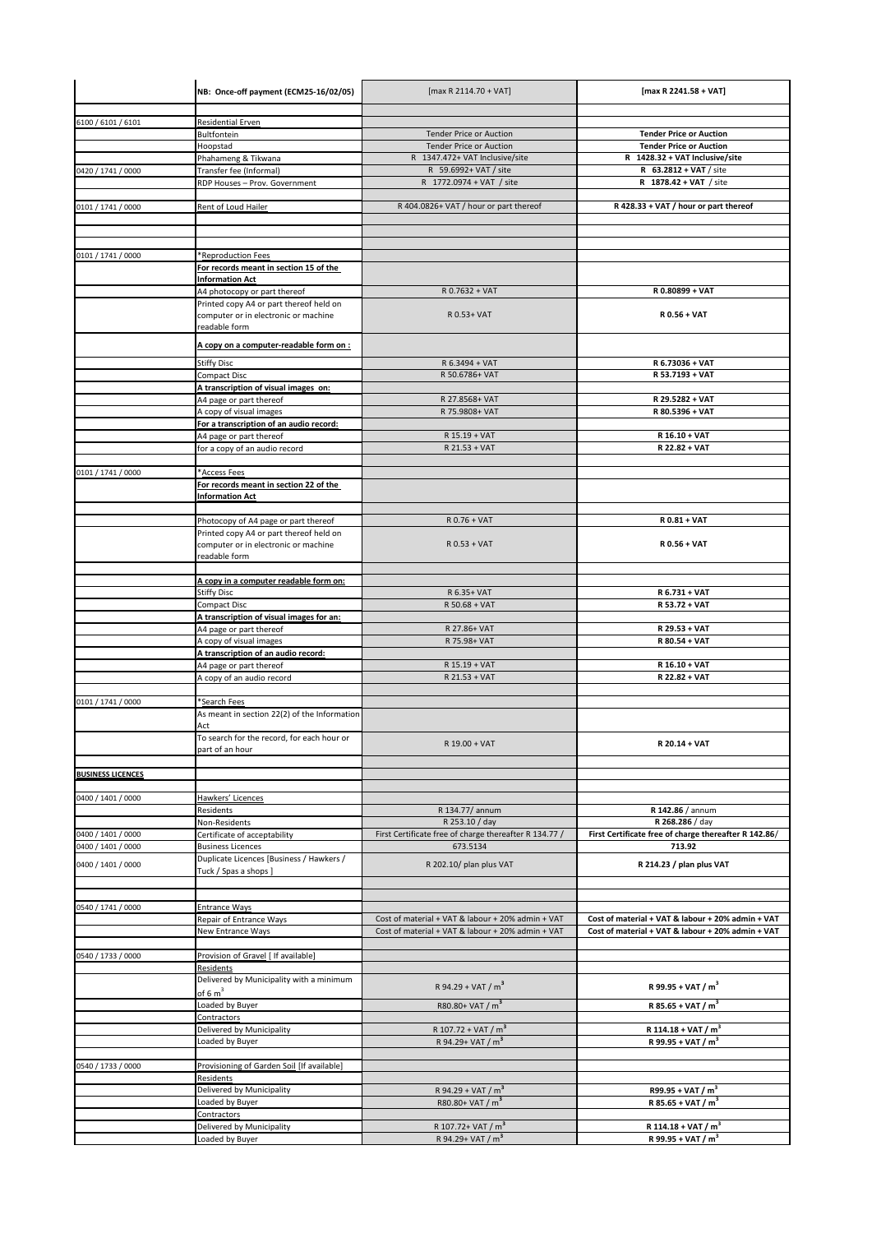|                          | NB: Once-off payment (ECM25-16/02/05)                                           | [max R 2114.70 + VAT]                                            | [max R 2241.58 + VAT]                                            |
|--------------------------|---------------------------------------------------------------------------------|------------------------------------------------------------------|------------------------------------------------------------------|
|                          |                                                                                 |                                                                  |                                                                  |
| 6100 / 6101 / 6101       | Residential Erven                                                               |                                                                  |                                                                  |
|                          | Bultfontein<br>Hoopstad                                                         | <b>Tender Price or Auction</b><br><b>Tender Price or Auction</b> | <b>Tender Price or Auction</b><br><b>Tender Price or Auction</b> |
|                          | Phahameng & Tikwana                                                             | R 1347.472+ VAT Inclusive/site                                   | R 1428.32 + VAT Inclusive/site                                   |
| 0420 / 1741 / 0000       | Transfer fee (Informal)                                                         | R 59.6992+ VAT / site                                            | R 63.2812 + VAT / site                                           |
|                          | RDP Houses - Prov. Government                                                   | R 1772.0974 + VAT / site                                         | R 1878.42 + VAT / site                                           |
|                          |                                                                                 |                                                                  |                                                                  |
| 0101 / 1741 / 0000       | Rent of Loud Hailer                                                             | R 404.0826+ VAT / hour or part thereof                           | R 428.33 + VAT / hour or part thereof                            |
|                          |                                                                                 |                                                                  |                                                                  |
|                          |                                                                                 |                                                                  |                                                                  |
| 0101 / 1741 / 0000       | *Reproduction Fees                                                              |                                                                  |                                                                  |
|                          | For records meant in section 15 of the                                          |                                                                  |                                                                  |
|                          | <b>Information Act</b>                                                          |                                                                  |                                                                  |
|                          | A4 photocopy or part thereof                                                    | R 0.7632 + VAT                                                   | R 0.80899 + VAT                                                  |
|                          | Printed copy A4 or part thereof held on<br>computer or in electronic or machine | R 0.53+ VAT                                                      | R 0.56 + VAT                                                     |
|                          | readable form                                                                   |                                                                  |                                                                  |
|                          |                                                                                 |                                                                  |                                                                  |
|                          | A copy on a computer-readable form on :                                         |                                                                  |                                                                  |
|                          | <b>Stiffy Disc</b>                                                              | R 6.3494 + VAT                                                   | R 6.73036 + VAT                                                  |
|                          | Compact Disc                                                                    | R 50.6786+ VAT                                                   | R 53.7193 + VAT                                                  |
|                          | A transcription of visual images on:<br>A4 page or part thereof                 | R 27.8568+ VAT                                                   | R 29.5282 + VAT                                                  |
|                          | A copy of visual images                                                         | R 75.9808+ VAT                                                   | R 80.5396 + VAT                                                  |
|                          | For a transcription of an audio record:                                         |                                                                  |                                                                  |
|                          | A4 page or part thereof                                                         | R 15.19 + VAT                                                    | R 16.10 + VAT                                                    |
|                          | for a copy of an audio record                                                   | R 21.53 + VAT                                                    | R 22.82 + VAT                                                    |
| 0101 / 1741 / 0000       | *Access Fees                                                                    |                                                                  |                                                                  |
|                          | For records meant in section 22 of the                                          |                                                                  |                                                                  |
|                          | <b>Information Act</b>                                                          |                                                                  |                                                                  |
|                          |                                                                                 |                                                                  |                                                                  |
|                          | Photocopy of A4 page or part thereof                                            | R 0.76 + VAT                                                     | R 0.81 + VAT                                                     |
|                          | Printed copy A4 or part thereof held on                                         |                                                                  |                                                                  |
|                          | computer or in electronic or machine<br>readable form                           | $R$ 0.53 + VAT                                                   | R 0.56 + VAT                                                     |
|                          |                                                                                 |                                                                  |                                                                  |
|                          | A copy in a computer readable form on:                                          |                                                                  |                                                                  |
|                          | Stiffy Disc                                                                     | R 6.35+ VAT                                                      | R 6.731 + VAT                                                    |
|                          | Compact Disc                                                                    | R 50.68 + VAT                                                    | R 53.72 + VAT                                                    |
|                          | A transcription of visual images for an:                                        |                                                                  |                                                                  |
|                          | A4 page or part thereof<br>A copy of visual images                              | R 27.86+ VAT<br>R 75.98+ VAT                                     | R 29.53 + VAT<br>R 80.54 + VAT                                   |
|                          | A transcription of an audio record:                                             |                                                                  |                                                                  |
|                          | A4 page or part thereof                                                         | R 15.19 + VAT                                                    | R 16.10 + VAT                                                    |
|                          | A copy of an audio record                                                       | R 21.53 + VAT                                                    | R 22.82 + VAT                                                    |
|                          |                                                                                 |                                                                  |                                                                  |
| 0101 / 1741 / 0000       | *Search Fees                                                                    |                                                                  |                                                                  |
|                          | As meant in section 22(2) of the Information<br>Act                             |                                                                  |                                                                  |
|                          | To search for the record, for each hour or                                      |                                                                  |                                                                  |
|                          | part of an hour                                                                 | R 19.00 + VAT                                                    | R 20.14 + VAT                                                    |
|                          |                                                                                 |                                                                  |                                                                  |
| <b>BUSINESS LICENCES</b> |                                                                                 |                                                                  |                                                                  |
|                          |                                                                                 |                                                                  |                                                                  |
| 0400 / 1401 / 0000       | Hawkers' Licences<br>Residents                                                  | R 134.77/ annum                                                  | R 142.86 / annum                                                 |
|                          | Non-Residents                                                                   | R 253.10 / day                                                   | R 268.286 / day                                                  |
| 0400 / 1401 / 0000       | Certificate of acceptability                                                    | First Certificate free of charge thereafter R 134.77 /           | First Certificate free of charge thereafter R 142.86/            |
| 0400 / 1401 / 0000       | <b>Business Licences</b>                                                        | 673.5134                                                         | 713.92                                                           |
| 0400 / 1401 / 0000       | Duplicate Licences [Business / Hawkers /                                        | R 202.10/ plan plus VAT                                          | R 214.23 / plan plus VAT                                         |
|                          | Tuck / Spas a shops ]                                                           |                                                                  |                                                                  |
|                          |                                                                                 |                                                                  |                                                                  |
| 0540 / 1741 / 0000       | <b>Entrance Ways</b>                                                            |                                                                  |                                                                  |
|                          | Repair of Entrance Ways                                                         | Cost of material + VAT & labour + 20% admin + VAT                | Cost of material + VAT & labour + 20% admin + VAT                |
|                          | New Entrance Ways                                                               | Cost of material + VAT & labour + 20% admin + VAT                | Cost of material + VAT & labour + 20% admin + VAT                |
|                          |                                                                                 |                                                                  |                                                                  |
| 0540 / 1733 / 0000       | Provision of Gravel [ If available]<br>Residents                                |                                                                  |                                                                  |
|                          | Delivered by Municipality with a minimum                                        |                                                                  |                                                                  |
|                          | of $6 m3$                                                                       | R 94.29 + VAT / $m^3$                                            | R 99.95 + VAT / $m^3$                                            |
|                          | Loaded by Buyer                                                                 | R80.80+ VAT / m <sup>3</sup>                                     | R 85.65 + VAT / $m^3$                                            |
|                          | Contractors                                                                     |                                                                  |                                                                  |
|                          | Delivered by Municipality                                                       | R 107.72 + VAT / $m3$                                            | R 114.18 + VAT / $m^3$                                           |
|                          | Loaded by Buyer                                                                 | R 94.29+ VAT / $m^3$                                             | R 99.95 + VAT / $m^3$                                            |
| 0540 / 1733 / 0000       | Provisioning of Garden Soil [If available]                                      |                                                                  |                                                                  |
|                          | Residents                                                                       |                                                                  |                                                                  |
|                          | Delivered by Municipality                                                       | R 94.29 + VAT / $m^3$                                            | R99.95 + VAT / $m^3$                                             |
|                          | Loaded by Buyer                                                                 | R80.80+ VAT / m <sup>3</sup>                                     | R 85.65 + VAT / $m^3$                                            |
|                          | Contractors                                                                     |                                                                  |                                                                  |
|                          | Delivered by Municipality<br>Loaded by Buyer                                    | R 107.72+ VAT / m <sup>3</sup><br>R 94.29+ VAT / m <sup>3</sup>  | R 114.18 + VAT / $m^3$<br>R 99.95 + VAT / $m^3$                  |
|                          |                                                                                 |                                                                  |                                                                  |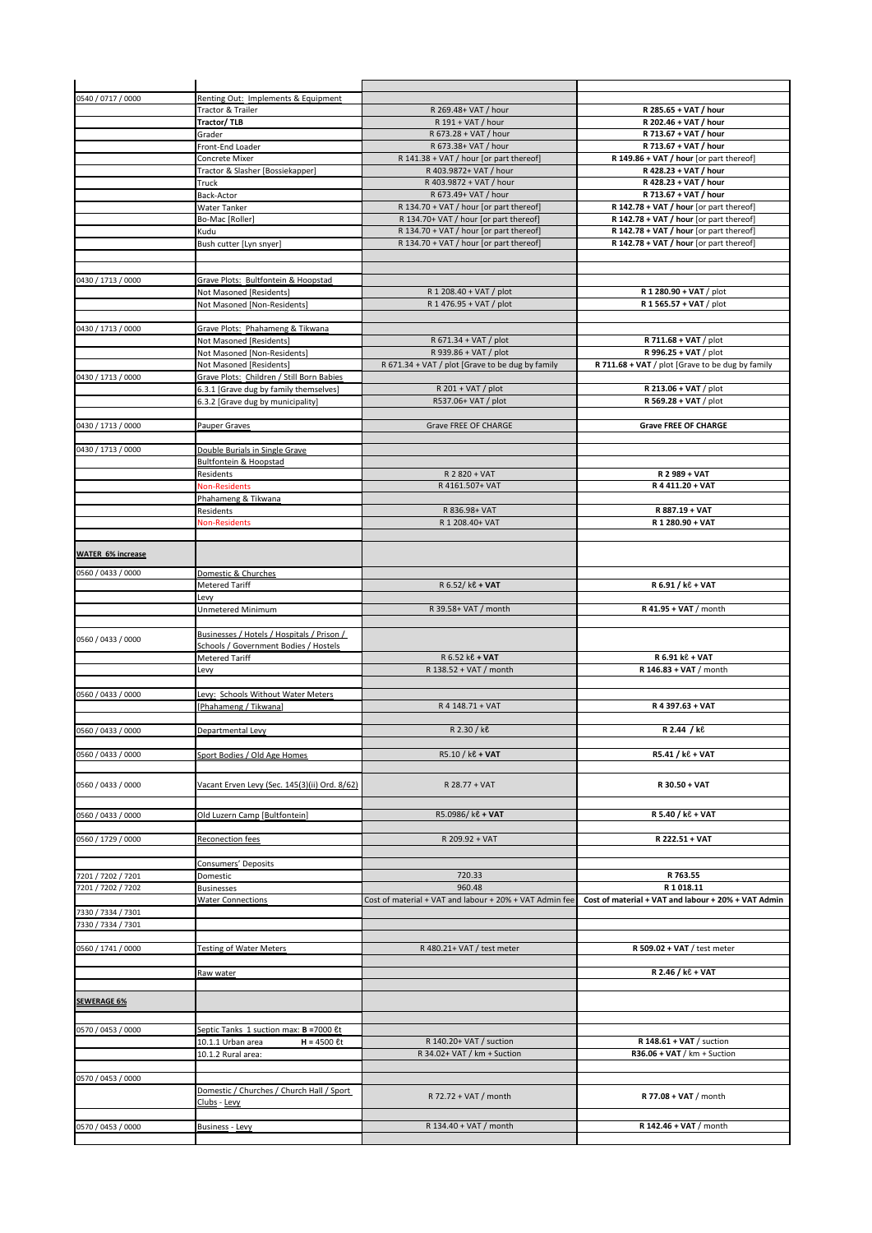| 0540 / 0717 / 0000       | Renting Out: Implements & Equipment           |                                                         |                                                     |
|--------------------------|-----------------------------------------------|---------------------------------------------------------|-----------------------------------------------------|
|                          | Tractor & Trailer                             | R 269.48+ VAT / hour                                    | R 285.65 + VAT / hour                               |
|                          | Tractor/TLB                                   | R 191 + VAT / hour                                      | R 202.46 + VAT / hour                               |
|                          | Grader                                        | R 673.28 + VAT / hour                                   | R 713.67 + VAT / hour                               |
|                          | Front-End Loader                              | R 673.38+ VAT / hour                                    | R 713.67 + VAT / hour                               |
|                          | Concrete Mixer                                | R 141.38 + VAT / hour [or part thereof]                 | R 149.86 + VAT / hour [or part thereof]             |
|                          | Tractor & Slasher [Bossiekapper]              | R 403.9872+ VAT / hour                                  | R 428.23 + VAT / hour                               |
|                          | Truck                                         | R 403.9872 + VAT / hour                                 | R 428.23 + VAT / hour                               |
|                          | Back-Actor                                    | R 673.49+ VAT / hour                                    | R 713.67 + VAT / hour                               |
|                          | <b>Water Tanker</b>                           | R 134.70 + VAT / hour [or part thereof]                 | R 142.78 + VAT / hour [or part thereof]             |
|                          | Bo-Mac [Roller]                               | R 134.70+ VAT / hour [or part thereof]                  | R 142.78 + VAT / hour [or part thereof]             |
|                          | Kudu                                          | R 134.70 + VAT / hour [or part thereof]                 | R 142.78 + VAT / hour [or part thereof]             |
|                          | Bush cutter [Lyn snyer]                       | R 134.70 + VAT / hour [or part thereof]                 | R 142.78 + VAT / hour [or part thereof]             |
|                          |                                               |                                                         |                                                     |
|                          |                                               |                                                         |                                                     |
| 0430 / 1713 / 0000       | Grave Plots: Bultfontein & Hoopstad           |                                                         |                                                     |
|                          | Not Masoned [Residents]                       | R 1 208.40 + VAT / plot                                 | R 1 280.90 + VAT / plot                             |
|                          | Not Masoned [Non-Residents]                   | R 1 476.95 + VAT / plot                                 | R 1 565.57 + VAT / plot                             |
|                          |                                               |                                                         |                                                     |
| 0430 / 1713 / 0000       | Grave Plots: Phahameng & Tikwana              |                                                         |                                                     |
|                          | Not Masoned [Residents]                       | R 671.34 + VAT / plot                                   | R 711.68 + VAT / plot                               |
|                          | Not Masoned [Non-Residents]                   | R 939.86 + VAT / plot                                   | R 996.25 + VAT / plot                               |
|                          | Not Masoned [Residents]                       | R 671.34 + VAT / plot [Grave to be dug by family        | R 711.68 + VAT / plot [Grave to be dug by family    |
| 0430 / 1713 / 0000       | Grave Plots: Children / Still Born Babies     |                                                         |                                                     |
|                          | 6.3.1 [Grave dug by family themselves]        | R 201 + VAT / plot                                      | R 213.06 + VAT / plot                               |
|                          | 6.3.2 [Grave dug by municipality]             | R537.06+ VAT / plot                                     | R 569.28 + VAT / plot                               |
| 0430 / 1713 / 0000       | Pauper Graves                                 | Grave FREE OF CHARGE                                    | <b>Grave FREE OF CHARGE</b>                         |
|                          |                                               |                                                         |                                                     |
| 0430 / 1713 / 0000       | Double Burials in Single Grave                |                                                         |                                                     |
|                          | Bultfontein & Hoopstad                        |                                                         |                                                     |
|                          | Residents                                     | R 2 820 + VAT                                           | R 2 989 + VAT                                       |
|                          | <b>Non-Residents</b>                          | R 4161.507+ VAT                                         | R 4 411.20 + VAT                                    |
|                          | Phahameng & Tikwana                           |                                                         |                                                     |
|                          | Residents                                     | R 836.98+ VAT                                           | R 887.19 + VAT                                      |
|                          |                                               | R 1 208.40+ VAT                                         | R 1 280.90 + VAT                                    |
|                          | Non-Residents                                 |                                                         |                                                     |
|                          |                                               |                                                         |                                                     |
| <b>WATER 6% increase</b> |                                               |                                                         |                                                     |
| 0560 / 0433 / 0000       | Domestic & Churches                           |                                                         |                                                     |
|                          | Metered Tariff                                | R 6.52/ ke + VAT                                        | R 6.91 / ke + VAT                                   |
|                          |                                               |                                                         |                                                     |
|                          | Levy<br>Unmetered Minimum                     | R 39.58+ VAT / month                                    | R 41.95 + VAT / month                               |
|                          |                                               |                                                         |                                                     |
|                          | Businesses / Hotels / Hospitals / Prison /    |                                                         |                                                     |
| 0560 / 0433 / 0000       | Schools / Government Bodies / Hostels         |                                                         |                                                     |
|                          | Metered Tariff                                | R 6.52 ke + VAT                                         | R 6.91 kč + VAT                                     |
|                          | Levy                                          | R 138.52 + VAT / month                                  | R 146.83 + VAT / month                              |
|                          |                                               |                                                         |                                                     |
| 0560 / 0433 / 0000       | Levy: Schools Without Water Meters            |                                                         |                                                     |
|                          | [Phahameng / Tikwana]                         | R 4 148.71 + VAT                                        | R 4 397.63 + VAT                                    |
|                          |                                               |                                                         |                                                     |
| 0560 / 0433 / 0000       | Departmental Levy                             | R 2.30 / kg                                             | R 2.44 / ke                                         |
|                          |                                               |                                                         |                                                     |
| 0560 / 0433 / 0000       | Sport Bodies / Old Age Homes                  | R5.10 / ke + VAT                                        | R5.41 / ke + VAT                                    |
|                          |                                               |                                                         |                                                     |
|                          |                                               |                                                         |                                                     |
| 0560 / 0433 / 0000       | Vacant Erven Levy (Sec. 145(3)(ii) Ord. 8/62) | R 28.77 + VAT                                           | R 30.50 + VAT                                       |
|                          |                                               |                                                         |                                                     |
| 0560 / 0433 / 0000       | Old Luzern Camp [Bultfontein]                 | R5.0986/ ke + VAT                                       | R 5.40 / k <sup>e</sup> + VAT                       |
|                          |                                               |                                                         |                                                     |
| 0560 / 1729 / 0000       | Reconection fees                              | R 209.92 + VAT                                          | R 222.51 + VAT                                      |
|                          |                                               |                                                         |                                                     |
|                          | Consumers' Deposits                           |                                                         |                                                     |
| 7201 / 7202 / 7201       | Domestic                                      | 720.33                                                  | R 763.55                                            |
| 7201 / 7202 / 7202       | <b>Businesses</b>                             | 960.48                                                  | R 1 018.11                                          |
|                          | <b>Water Connections</b>                      | Cost of material + VAT and labour + 20% + VAT Admin fee | Cost of material + VAT and labour + 20% + VAT Admin |
| 7330 / 7334 / 7301       |                                               |                                                         |                                                     |
| 7330 / 7334 / 7301       |                                               |                                                         |                                                     |
|                          |                                               |                                                         |                                                     |
| 0560 / 1741 / 0000       | <b>Testing of Water Meters</b>                | R 480.21+ VAT / test meter                              | R 509.02 + VAT / test meter                         |
|                          |                                               |                                                         |                                                     |
|                          | Raw water                                     |                                                         | R 2.46 / k <sup>e</sup> + VAT                       |
|                          |                                               |                                                         |                                                     |
| <b>SEWERAGE 6%</b>       |                                               |                                                         |                                                     |
|                          |                                               |                                                         |                                                     |
| 0570 / 0453 / 0000       | Septic Tanks 1 suction max: B =7000 et        |                                                         |                                                     |
|                          | 10.1.1 Urban area<br>$H = 4500$ $Et$          | R 140.20+ VAT / suction                                 | R 148.61 + VAT / suction                            |
|                          | 10.1.2 Rural area:                            | R 34.02+ VAT / km + Suction                             | $R36.06 + VAT / km +$ Suction                       |
|                          |                                               |                                                         |                                                     |
| 0570 / 0453 / 0000       |                                               |                                                         |                                                     |
|                          | Domestic / Churches / Church Hall / Sport     |                                                         |                                                     |
|                          | <u> Clubs</u> - <u>Levy</u>                   | R 72.72 + VAT / month                                   | R 77.08 + VAT / month                               |
|                          |                                               |                                                         |                                                     |
| 0570 / 0453 / 0000       | <b>Business - Levy</b>                        | R 134.40 + VAT / month                                  | R 142.46 + VAT / month                              |
|                          |                                               |                                                         |                                                     |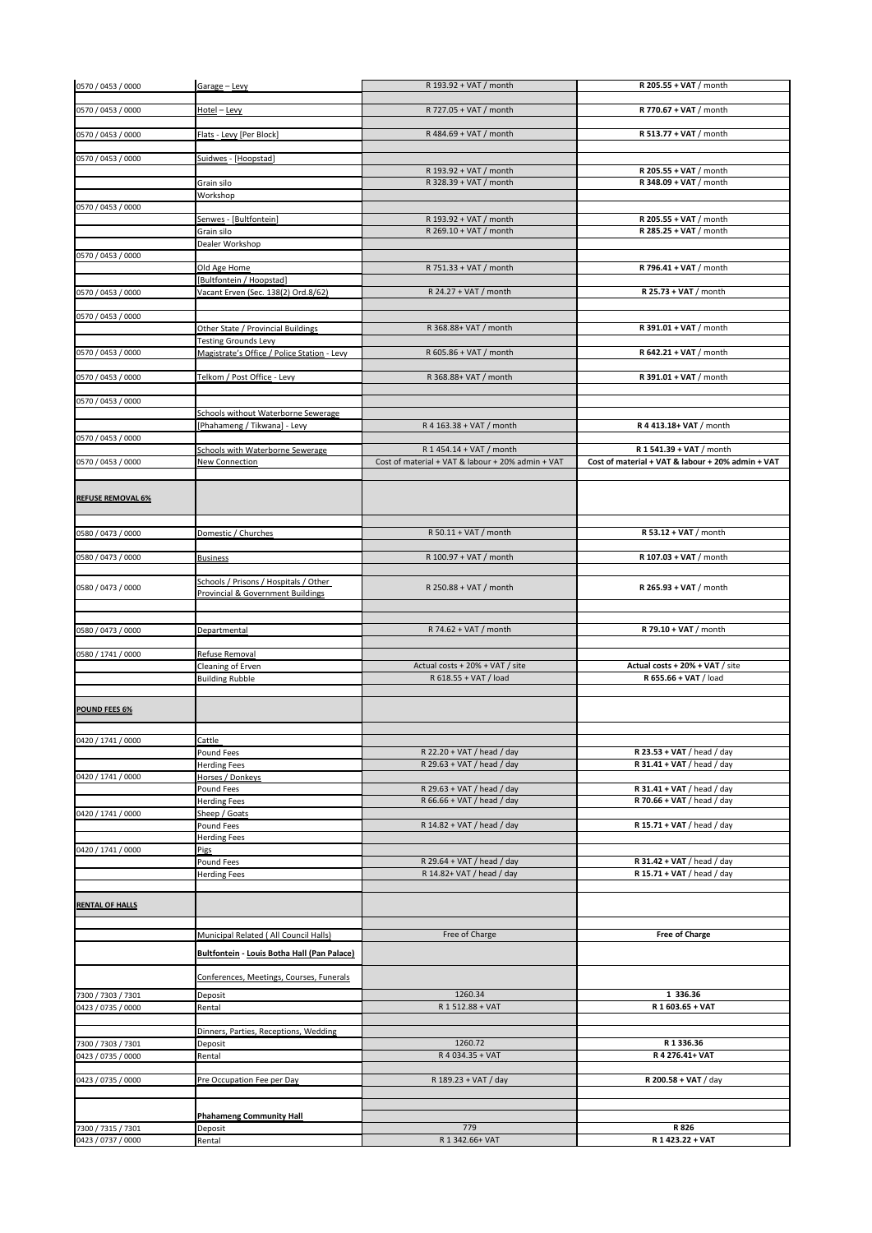| 0570 / 0453 / 0000                       | Garage - Levy                                                       | R 193.92 + VAT / month                                                        | R 205.55 + VAT / month                                                        |
|------------------------------------------|---------------------------------------------------------------------|-------------------------------------------------------------------------------|-------------------------------------------------------------------------------|
| 0570 / 0453 / 0000                       | Hotel - Levy                                                        | R 727.05 + VAT / month                                                        | R 770.67 + VAT / month                                                        |
|                                          |                                                                     |                                                                               |                                                                               |
| 0570 / 0453 / 0000                       | Flats - Levy [Per Block]                                            | R 484.69 + VAT / month                                                        | R 513.77 + VAT / month                                                        |
| 0570 / 0453 / 0000                       | Suidwes - [Hoopstad]                                                |                                                                               |                                                                               |
|                                          |                                                                     | R 193.92 + VAT / month                                                        | R 205.55 + VAT / month                                                        |
|                                          | Grain silo<br>Workshop                                              | R 328.39 + VAT / month                                                        | R 348.09 + VAT / month                                                        |
| 0570 / 0453 / 0000                       |                                                                     |                                                                               |                                                                               |
|                                          | Senwes - [Bultfontein]                                              | R 193.92 + VAT / month                                                        | R 205.55 + VAT / month                                                        |
|                                          | Grain silo<br>Dealer Workshop                                       | R 269.10 + VAT / month                                                        | R 285.25 + VAT / month                                                        |
| 0570 / 0453 / 0000                       |                                                                     |                                                                               |                                                                               |
|                                          | Old Age Home                                                        | R 751.33 + VAT / month                                                        | R 796.41 + VAT / month                                                        |
| 0570 / 0453 / 0000                       | [Bultfontein / Hoopstad]<br>Vacant Erven (Sec. 138(2) Ord.8/62)     | R 24.27 + VAT / month                                                         | R 25.73 + VAT / month                                                         |
|                                          |                                                                     |                                                                               |                                                                               |
| 0570 / 0453 / 0000                       | Other State / Provincial Buildings                                  | R 368.88+ VAT / month                                                         | R 391.01 + VAT / month                                                        |
|                                          | <b>Testing Grounds Levy</b>                                         |                                                                               |                                                                               |
| 0570 / 0453 / 0000                       | Magistrate's Office / Police Station - Levy                         | R 605.86 + VAT / month                                                        | R 642.21 + VAT / month                                                        |
| 0570 / 0453 / 0000                       | Telkom / Post Office - Levy                                         | R 368.88+ VAT / month                                                         | R 391.01 + VAT / month                                                        |
|                                          |                                                                     |                                                                               |                                                                               |
| 0570 / 0453 / 0000                       |                                                                     |                                                                               |                                                                               |
|                                          | Schools without Waterborne Sewerage<br>[Phahameng / Tikwana] - Levy | R 4 163.38 + VAT / month                                                      | R 4 413.18+ VAT / month                                                       |
| 0570 / 0453 / 0000                       |                                                                     |                                                                               |                                                                               |
| 0570 / 0453 / 0000                       | Schools with Waterborne Sewerage<br>New Connection                  | R 1 454.14 + VAT / month<br>Cost of material + VAT & labour + 20% admin + VAT | R 1 541.39 + VAT / month<br>Cost of material + VAT & labour + 20% admin + VAT |
|                                          |                                                                     |                                                                               |                                                                               |
| <b>REFUSE REMOVAL 6%</b>                 |                                                                     |                                                                               |                                                                               |
| 0580 / 0473 / 0000                       | Domestic / Churches                                                 | R 50.11 + VAT / month                                                         | R 53.12 + VAT / month                                                         |
|                                          |                                                                     |                                                                               |                                                                               |
| 0580 / 0473 / 0000                       | <b>Business</b>                                                     | R 100.97 + VAT / month                                                        | R 107.03 + VAT / month                                                        |
| 0580 / 0473 / 0000                       | Schools / Prisons / Hospitals / Other                               | R 250.88 + VAT / month                                                        | $R$ 265.93 + VAT / month                                                      |
|                                          | Provincial & Government Buildings                                   |                                                                               |                                                                               |
|                                          |                                                                     |                                                                               |                                                                               |
| 0580 / 0473 / 0000                       | Departmental                                                        | R 74.62 + VAT / month                                                         | R 79.10 + VAT / month                                                         |
| 0580 / 1741 / 0000                       | Refuse Removal                                                      |                                                                               |                                                                               |
|                                          | Cleaning of Erven                                                   | Actual costs + 20% + VAT / site                                               | Actual costs + 20% + VAT / site                                               |
|                                          | <b>Building Rubble</b>                                              | R 618.55 + VAT / load                                                         | R 655.66 + VAT / load                                                         |
|                                          |                                                                     |                                                                               |                                                                               |
| <b>POUND FEES 6%</b>                     |                                                                     |                                                                               |                                                                               |
| 0420 / 1741 / 0000                       | Cattle                                                              |                                                                               |                                                                               |
|                                          | Pound Fees                                                          | R 22.20 + VAT / head / day                                                    | R 23.53 + VAT / head / day                                                    |
|                                          | <b>Herding Fees</b>                                                 | R 29.63 + VAT / head / day                                                    | R 31.41 + VAT / head / day                                                    |
| 0420 / 1741 / 0000                       | Horses / Donkeys<br>Pound Fees                                      | R 29.63 + VAT / head / day                                                    | R 31.41 + VAT / head / day                                                    |
|                                          | <b>Herding Fees</b>                                                 | R 66.66 + VAT / head / day                                                    | R 70.66 + VAT / head / day                                                    |
| 0420 / 1741 / 0000                       | Sheep / Goats<br>Pound Fees                                         | R 14.82 + VAT / head / day                                                    | R 15.71 + VAT / head / day                                                    |
|                                          | <b>Herding Fees</b>                                                 |                                                                               |                                                                               |
| 0420 / 1741 / 0000                       | Pigs                                                                |                                                                               |                                                                               |
|                                          | Pound Fees<br><b>Herding Fees</b>                                   | R 29.64 + VAT / head / day<br>R 14.82+ VAT / head / day                       | R 31.42 + VAT / head / day<br>R 15.71 + VAT / head / day                      |
|                                          |                                                                     |                                                                               |                                                                               |
| <b>RENTAL OF HALLS</b>                   |                                                                     |                                                                               |                                                                               |
|                                          | Municipal Related ( All Council Halls)                              | Free of Charge                                                                | <b>Free of Charge</b>                                                         |
|                                          | Bultfontein - Louis Botha Hall (Pan Palace)                         |                                                                               |                                                                               |
|                                          | Conferences, Meetings, Courses, Funerals                            |                                                                               |                                                                               |
| 7300 / 7303 / 7301<br>0423 / 0735 / 0000 | Deposit<br>Rental                                                   | 1260.34<br>R 1 512.88 + VAT                                                   | 1 336.36<br>R 1 603.65 + VAT                                                  |
|                                          |                                                                     |                                                                               |                                                                               |
| 7300 / 7303 / 7301                       | Dinners, Parties, Receptions, Wedding<br>Deposit                    | 1260.72                                                                       | R1336.36                                                                      |
| 0423 / 0735 / 0000                       | Rental                                                              | R 4 034.35 + VAT                                                              | R 4 276.41+ VAT                                                               |
|                                          |                                                                     |                                                                               |                                                                               |
| 0423 / 0735 / 0000                       | Pre Occupation Fee per Day                                          | R 189.23 + VAT / day                                                          | R 200.58 + VAT / day                                                          |
|                                          |                                                                     |                                                                               |                                                                               |
| 7300 / 7315 / 7301                       | <b>Phahameng Community Hall</b><br>Deposit                          | 779                                                                           | R 826                                                                         |
|                                          | Rental                                                              | R 1 342.66+ VAT                                                               | R 1 423.22 + VAT                                                              |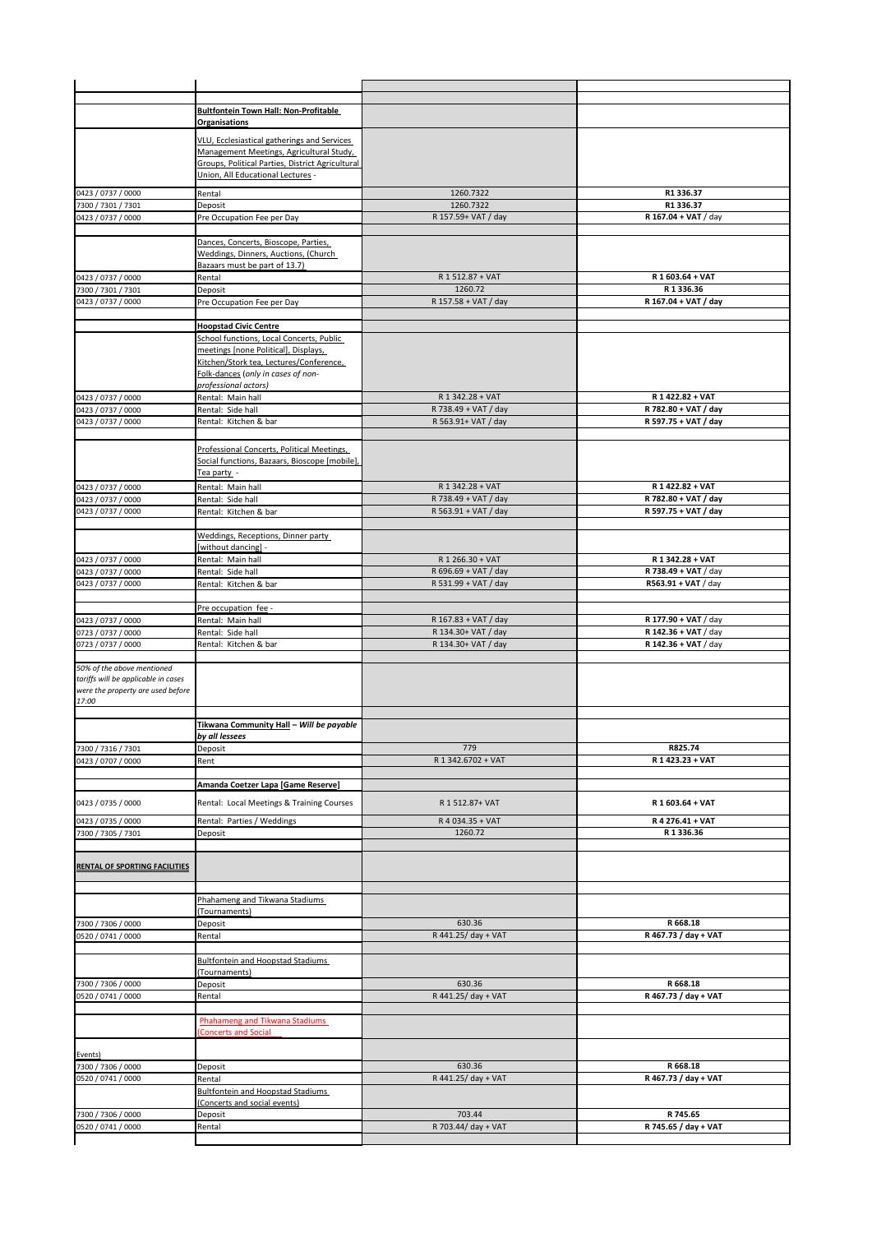|                                                                                                                 | <b>Bultfontein Town Hall: Non-Profitable</b>                                          |                                            |                                              |
|-----------------------------------------------------------------------------------------------------------------|---------------------------------------------------------------------------------------|--------------------------------------------|----------------------------------------------|
|                                                                                                                 | Organisations                                                                         |                                            |                                              |
|                                                                                                                 | VLU, Ecclesiastical gatherings and Services                                           |                                            |                                              |
|                                                                                                                 | Management Meetings, Agricultural Study,                                              |                                            |                                              |
|                                                                                                                 | Groups, Political Parties, District Agricultural<br>Union, All Educational Lectures - |                                            |                                              |
| 0423 / 0737 / 0000                                                                                              | Rental                                                                                | 1260.7322                                  | R1 336.37                                    |
| 7300 / 7301 / 7301                                                                                              | Deposit                                                                               | 1260.7322                                  | R1 336.37                                    |
| 0423 / 0737 / 0000                                                                                              | Pre Occupation Fee per Day                                                            | R 157.59+ VAT / day                        | R 167.04 + VAT / day                         |
|                                                                                                                 | Dances, Concerts, Bioscope, Parties,                                                  |                                            |                                              |
|                                                                                                                 | Weddings, Dinners, Auctions, (Church                                                  |                                            |                                              |
|                                                                                                                 | Bazaars must be part of 13.7)                                                         |                                            |                                              |
| 0423 / 0737 / 0000<br>7300 / 7301 / 7301                                                                        | Rental<br>Deposit                                                                     | R 1 512.87 + VAT<br>1260.72                | R 1 603.64 + VAT<br>R1336.36                 |
| 0423 / 0737 / 0000                                                                                              | Pre Occupation Fee per Day                                                            | R 157.58 + VAT / day                       | R 167.04 + VAT / day                         |
|                                                                                                                 |                                                                                       |                                            |                                              |
|                                                                                                                 | <b>Hoopstad Civic Centre</b><br>School functions, Local Concerts, Public              |                                            |                                              |
|                                                                                                                 | meetings [none Political], Displays,                                                  |                                            |                                              |
|                                                                                                                 | Kitchen/Stork tea, Lectures/Conference,                                               |                                            |                                              |
|                                                                                                                 | Folk-dances (only in cases of non-<br>professional actors)                            |                                            |                                              |
| 0423 / 0737 / 0000                                                                                              | Rental: Main hall                                                                     | R 1 342.28 + VAT                           | R 1 422.82 + VAT                             |
| 0423 / 0737 / 0000                                                                                              | Rental: Side hall                                                                     | R 738.49 + VAT / day                       | R 782.80 + VAT / day                         |
| 0423 / 0737 / 0000                                                                                              | Rental: Kitchen & bar                                                                 | R 563.91+ VAT / day                        | R 597.75 + VAT / day                         |
|                                                                                                                 | Professional Concerts, Political Meetings,                                            |                                            |                                              |
|                                                                                                                 | Social functions, Bazaars, Bioscope [mobile],                                         |                                            |                                              |
|                                                                                                                 | Tea party -                                                                           |                                            |                                              |
| 0423 / 0737 / 0000<br>0423 / 0737 / 0000                                                                        | Rental: Main hall<br>Rental: Side hall                                                | R 1 342.28 + VAT<br>R 738.49 + VAT / day   | R 1 422.82 + VAT<br>R 782.80 + VAT / day     |
| 0423 / 0737 / 0000                                                                                              | Rental: Kitchen & bar                                                                 | R 563.91 + VAT / day                       | R 597.75 + VAT / day                         |
|                                                                                                                 |                                                                                       |                                            |                                              |
|                                                                                                                 | Weddings, Receptions, Dinner party<br>[without dancing] -                             |                                            |                                              |
| 0423 / 0737 / 0000                                                                                              | Rental: Main hall                                                                     | R 1 266.30 + VAT                           | R 1 342.28 + VAT                             |
| 0423 / 0737 / 0000                                                                                              | Rental: Side hall                                                                     | R 696.69 + VAT / day                       | R 738.49 + VAT / day                         |
| 0423 / 0737 / 0000                                                                                              | Rental: Kitchen & bar                                                                 | R 531.99 + VAT / day                       | R563.91 + VAT / day                          |
|                                                                                                                 | Pre occupation fee -                                                                  |                                            |                                              |
| 0423 / 0737 / 0000                                                                                              | Rental: Main hall                                                                     | R 167.83 + VAT / day                       | R 177.90 + VAT / day                         |
| 0723 / 0737 / 0000<br>0723 / 0737 / 0000                                                                        | Rental: Side hall<br>Rental: Kitchen & bar                                            | R 134.30+ VAT / day<br>R 134.30+ VAT / day | R 142.36 + VAT / day<br>R 142.36 + VAT / day |
|                                                                                                                 |                                                                                       |                                            |                                              |
| 50% of the above mentioned<br>tariffs will be applicable in cases<br>were the property are used before<br>17:00 |                                                                                       |                                            |                                              |
|                                                                                                                 |                                                                                       |                                            |                                              |
|                                                                                                                 | Tikwana Community Hall - Will be payable<br>by all lessees                            |                                            |                                              |
| 7300 / 7316 / 7301                                                                                              | Deposit                                                                               | 779                                        | R825.74                                      |
| 0423 / 0707 / 0000                                                                                              | Rent                                                                                  | R 1 342.6702 + VAT                         | R 1 423.23 + VAT                             |
|                                                                                                                 | Amanda Coetzer Lapa [Game Reserve]                                                    |                                            |                                              |
| 0423 / 0735 / 0000                                                                                              | Rental: Local Meetings & Training Courses                                             | R 1 512.87+ VAT                            | R 1 603.64 + VAT                             |
| 0423 / 0735 / 0000                                                                                              |                                                                                       |                                            |                                              |
| 7300 / 7305 / 7301                                                                                              | Rental: Parties / Weddings<br>Deposit                                                 | R 4 034.35 + VAT<br>1260.72                | R 4 276.41 + VAT<br>R1336.36                 |
|                                                                                                                 |                                                                                       |                                            |                                              |
| <b>RENTAL OF SPORTING FACILITIES</b>                                                                            |                                                                                       |                                            |                                              |
|                                                                                                                 |                                                                                       |                                            |                                              |
|                                                                                                                 | Phahameng and Tikwana Stadiums                                                        |                                            |                                              |
|                                                                                                                 | (Tournaments)                                                                         |                                            |                                              |
| 7300 / 7306 / 0000                                                                                              | Deposit                                                                               | 630.36                                     | R 668.18                                     |
| 0520 / 0741 / 0000                                                                                              | Rental                                                                                | R 441.25/ day + VAT                        | R 467.73 / day + VAT                         |
|                                                                                                                 | <b>Bultfontein and Hoopstad Stadiums</b>                                              |                                            |                                              |
|                                                                                                                 | (Tournaments)                                                                         |                                            |                                              |
| 7300 / 7306 / 0000<br>0520 / 0741 / 0000                                                                        | Deposit<br>Rental                                                                     | 630.36<br>R 441.25/ day + VAT              | R 668.18<br>R 467.73 / day + VAT             |
|                                                                                                                 |                                                                                       |                                            |                                              |
|                                                                                                                 | Phahameng and Tikwana Stadiums<br><b>Concerts and Social</b>                          |                                            |                                              |
| Events)                                                                                                         |                                                                                       |                                            |                                              |
| 7300 / 7306 / 0000                                                                                              | Deposit                                                                               | 630.36                                     | R 668.18                                     |
| 0520 / 0741 / 0000                                                                                              | Rental<br>Bultfontein and Hoopstad Stadiums                                           | R 441.25/ day + VAT                        | R 467.73 / day + VAT                         |
|                                                                                                                 | (Concerts and social events)                                                          |                                            |                                              |
| 7300 / 7306 / 0000<br>0520 / 0741 / 0000                                                                        | Deposit<br>Rental                                                                     | 703.44<br>R 703.44/ day + VAT              | R 745.65<br>R 745.65 / day + VAT             |